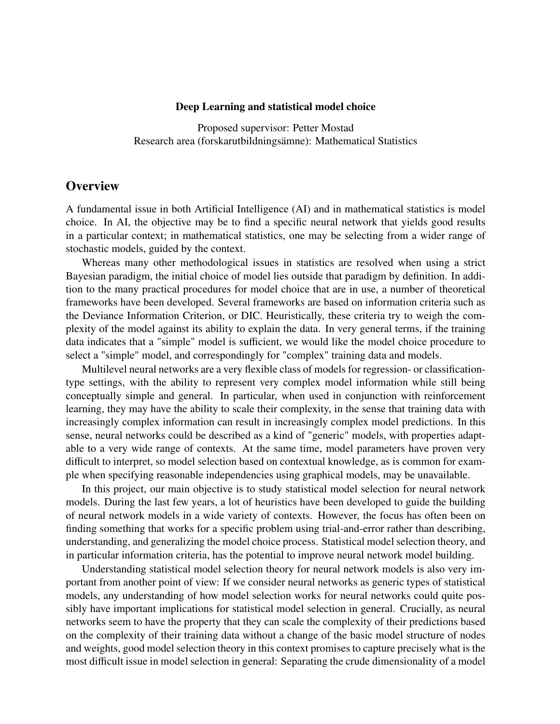#### Deep Learning and statistical model choice

Proposed supervisor: Petter Mostad Research area (forskarutbildningsämne): Mathematical Statistics

# **Overview**

A fundamental issue in both Artificial Intelligence (AI) and in mathematical statistics is model choice. In AI, the objective may be to find a specific neural network that yields good results in a particular context; in mathematical statistics, one may be selecting from a wider range of stochastic models, guided by the context.

Whereas many other methodological issues in statistics are resolved when using a strict Bayesian paradigm, the initial choice of model lies outside that paradigm by definition. In addition to the many practical procedures for model choice that are in use, a number of theoretical frameworks have been developed. Several frameworks are based on information criteria such as the Deviance Information Criterion, or DIC. Heuristically, these criteria try to weigh the complexity of the model against its ability to explain the data. In very general terms, if the training data indicates that a "simple" model is sufficient, we would like the model choice procedure to select a "simple" model, and correspondingly for "complex" training data and models.

Multilevel neural networks are a very flexible class of models for regression- or classificationtype settings, with the ability to represent very complex model information while still being conceptually simple and general. In particular, when used in conjunction with reinforcement learning, they may have the ability to scale their complexity, in the sense that training data with increasingly complex information can result in increasingly complex model predictions. In this sense, neural networks could be described as a kind of "generic" models, with properties adaptable to a very wide range of contexts. At the same time, model parameters have proven very difficult to interpret, so model selection based on contextual knowledge, as is common for example when specifying reasonable independencies using graphical models, may be unavailable.

In this project, our main objective is to study statistical model selection for neural network models. During the last few years, a lot of heuristics have been developed to guide the building of neural network models in a wide variety of contexts. However, the focus has often been on finding something that works for a specific problem using trial-and-error rather than describing, understanding, and generalizing the model choice process. Statistical model selection theory, and in particular information criteria, has the potential to improve neural network model building.

Understanding statistical model selection theory for neural network models is also very important from another point of view: If we consider neural networks as generic types of statistical models, any understanding of how model selection works for neural networks could quite possibly have important implications for statistical model selection in general. Crucially, as neural networks seem to have the property that they can scale the complexity of their predictions based on the complexity of their training data without a change of the basic model structure of nodes and weights, good model selection theory in this context promises to capture precisely what is the most difficult issue in model selection in general: Separating the crude dimensionality of a model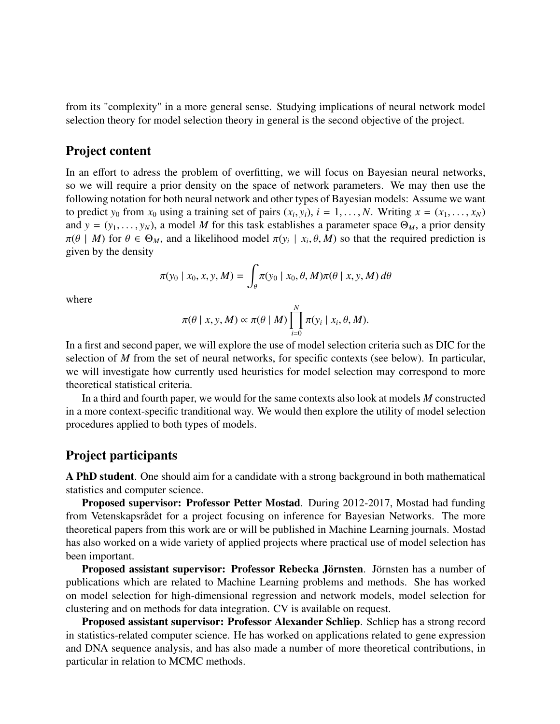from its "complexity" in a more general sense. Studying implications of neural network model selection theory for model selection theory in general is the second objective of the project.

# Project content

In an effort to adress the problem of overfitting, we will focus on Bayesian neural networks, so we will require a prior density on the space of network parameters. We may then use the following notation for both neural network and other types of Bayesian models: Assume we want to predict  $y_0$  from  $x_0$  using a training set of pairs  $(x_i, y_i)$ ,  $i = 1, \ldots, N$ . Writing  $x = (x_1, \ldots, x_N)$ <br>and  $y = (y_0, \ldots, y_N)$  a model M for this task establishes a parameter space  $\Theta_{y_i}$  a prior density and  $y = (y_1, \ldots, y_N)$ , a model *M* for this task establishes a parameter space  $\Theta_M$ , a prior density  $\pi(\theta \mid M)$  for  $\theta \in \Theta_M$ , and a likelihood model  $\pi(y_i \mid x_i, \theta, M)$  so that the required prediction is given by the density given by the density

$$
\pi(y_0 \mid x_0, x, y, M) = \int_{\theta} \pi(y_0 \mid x_0, \theta, M) \pi(\theta \mid x, y, M) d\theta
$$

where

$$
\pi(\theta \mid x, y, M) \propto \pi(\theta \mid M) \prod_{i=0}^{N} \pi(y_i \mid x_i, \theta, M).
$$

In a first and second paper, we will explore the use of model selection criteria such as DIC for the selection of *M* from the set of neural networks, for specific contexts (see below). In particular, we will investigate how currently used heuristics for model selection may correspond to more theoretical statistical criteria.

In a third and fourth paper, we would for the same contexts also look at models *M* constructed in a more context-specific tranditional way. We would then explore the utility of model selection procedures applied to both types of models.

# Project participants

A PhD student. One should aim for a candidate with a strong background in both mathematical statistics and computer science.

Proposed supervisor: Professor Petter Mostad. During 2012-2017, Mostad had funding from Vetenskapsrådet for a project focusing on inference for Bayesian Networks. The more theoretical papers from this work are or will be published in Machine Learning journals. Mostad has also worked on a wide variety of applied projects where practical use of model selection has been important.

Proposed assistant supervisor: Professor Rebecka Jörnsten. Jörnsten has a number of publications which are related to Machine Learning problems and methods. She has worked on model selection for high-dimensional regression and network models, model selection for clustering and on methods for data integration. CV is available on request.

Proposed assistant supervisor: Professor Alexander Schliep. Schliep has a strong record in statistics-related computer science. He has worked on applications related to gene expression and DNA sequence analysis, and has also made a number of more theoretical contributions, in particular in relation to MCMC methods.